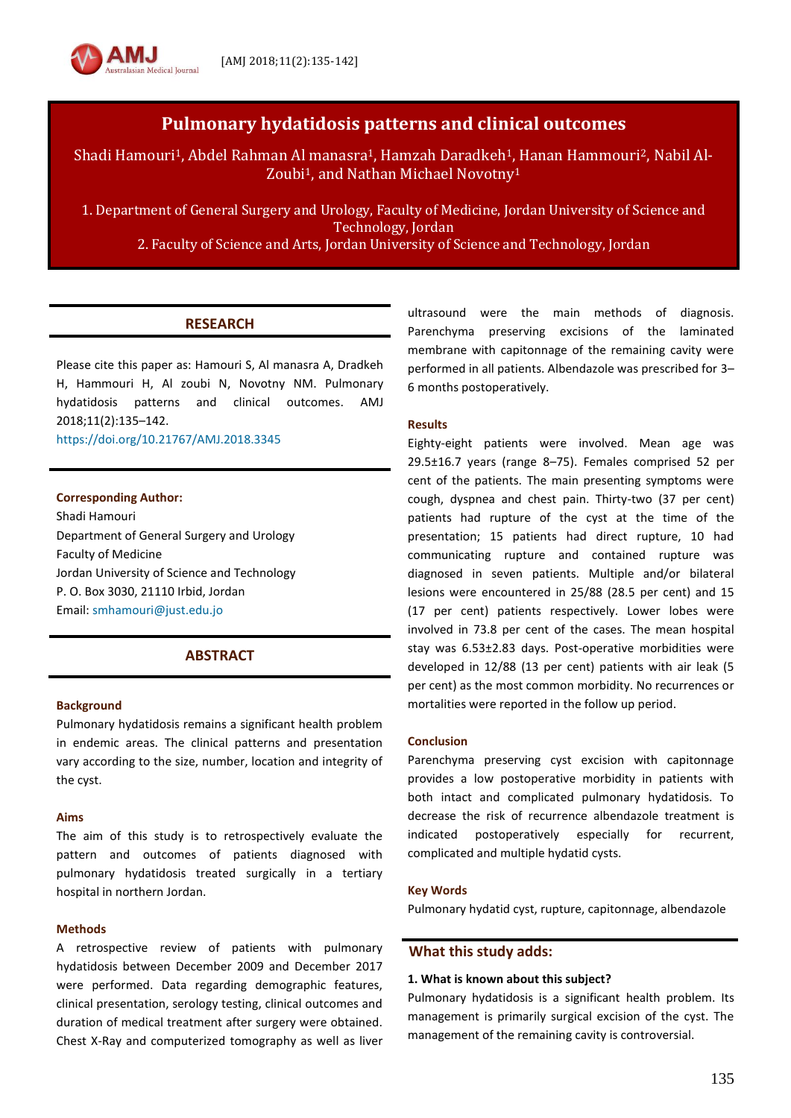# **Pulmonary hydatidosis patterns and clinical outcomes**

Shadi Hamouri1, Abdel Rahman Al manasra1, Hamzah Daradkeh1, Hanan Hammouri2, Nabil Al-Zoubi<sup>1</sup>, and Nathan Michael Novotny<sup>1</sup>

1. Department of General Surgery and Urology, Faculty of Medicine, Jordan University of Science and Technology, Jordan

2. Faculty of Science and Arts, Jordan University of Science and Technology, Jordan

## **RESEARCH**

Please cite this paper as: Hamouri S, Al manasra A, Dradkeh H, Hammouri H, Al zoubi N, Novotny NM. Pulmonary hydatidosis patterns and clinical outcomes. AMJ 2018;11(2):135–142.

<https://doi.org/10.21767/AMJ.2018.3345>

tralasian Medical Iournal

### **Corresponding Author:**

Shadi Hamouri Department of General Surgery and Urology Faculty of Medicine Jordan University of Science and Technology P. O. Box 3030, 21110 Irbid, Jordan Email[: smhamouri@just.edu.jo](mailto:smhamouri@just.edu.jo)

### **ABSTRACT**

#### **Background**

Pulmonary hydatidosis remains a significant health problem in endemic areas. The clinical patterns and presentation vary according to the size, number, location and integrity of the cyst.

#### **Aims**

The aim of this study is to retrospectively evaluate the pattern and outcomes of patients diagnosed with pulmonary hydatidosis treated surgically in a tertiary hospital in northern Jordan.

### **Methods**

A retrospective review of patients with pulmonary hydatidosis between December 2009 and December 2017 were performed. Data regarding demographic features, clinical presentation, serology testing, clinical outcomes and duration of medical treatment after surgery were obtained. Chest X-Ray and computerized tomography as well as liver

ultrasound were the main methods of diagnosis. Parenchyma preserving excisions of the laminated membrane with capitonnage of the remaining cavity were performed in all patients. Albendazole was prescribed for 3– 6 months postoperatively.

### **Results**

Eighty-eight patients were involved. Mean age was 29.5±16.7 years (range 8–75). Females comprised 52 per cent of the patients. The main presenting symptoms were cough, dyspnea and chest pain. Thirty-two (37 per cent) patients had rupture of the cyst at the time of the presentation; 15 patients had direct rupture, 10 had communicating rupture and contained rupture was diagnosed in seven patients. Multiple and/or bilateral lesions were encountered in 25/88 (28.5 per cent) and 15 (17 per cent) patients respectively. Lower lobes were involved in 73.8 per cent of the cases. The mean hospital stay was 6.53±2.83 days. Post-operative morbidities were developed in 12/88 (13 per cent) patients with air leak (5 per cent) as the most common morbidity. No recurrences or mortalities were reported in the follow up period.

#### **Conclusion**

Parenchyma preserving cyst excision with capitonnage provides a low postoperative morbidity in patients with both intact and complicated pulmonary hydatidosis. To decrease the risk of recurrence albendazole treatment is indicated postoperatively especially for recurrent, complicated and multiple hydatid cysts.

#### **Key Words**

Pulmonary hydatid cyst, rupture, capitonnage, albendazole

### **What this study adds:**

### **1. What is known about this subject?**

Pulmonary hydatidosis is a significant health problem. Its management is primarily surgical excision of the cyst. The management of the remaining cavity is controversial.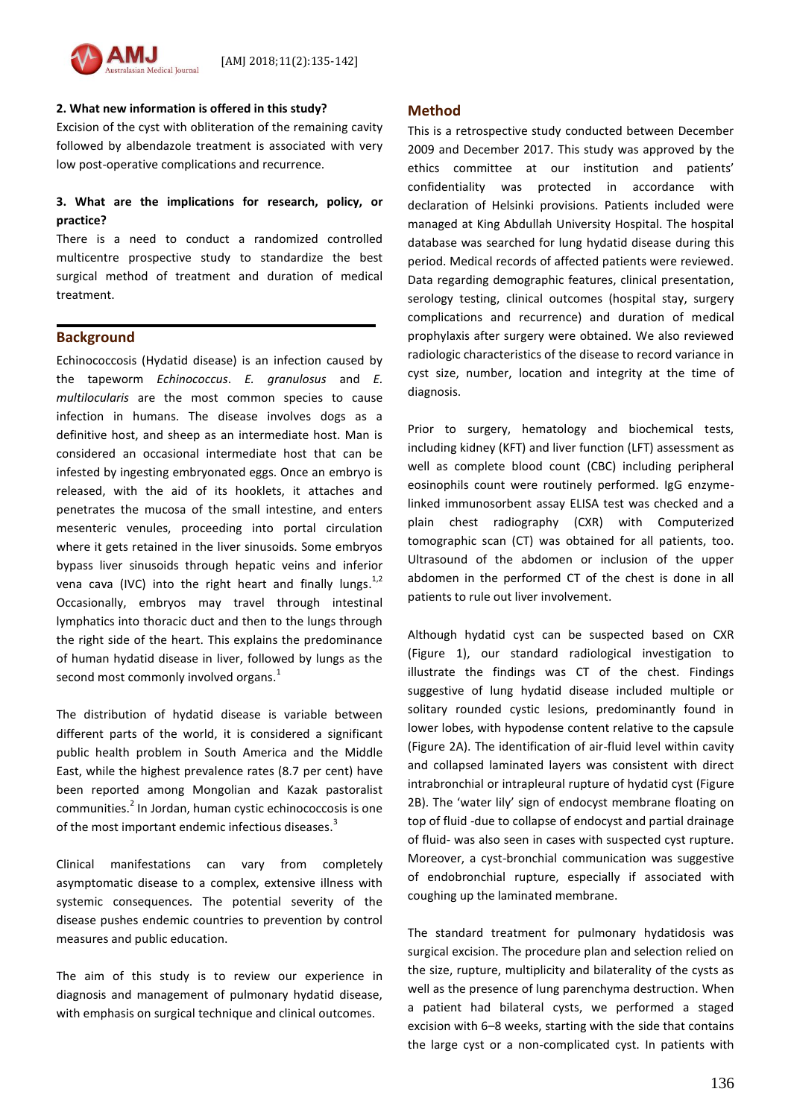

# **2. What new information is offered in this study?**

Excision of the cyst with obliteration of the remaining cavity followed by albendazole treatment is associated with very low post-operative complications and recurrence.

# **3. What are the implications for research, policy, or practice?**

There is a need to conduct a randomized controlled multicentre prospective study to standardize the best surgical method of treatment and duration of medical treatment.

### **Background**

Echinococcosis (Hydatid disease) is an infection caused by the tapeworm *Echinococcus*. *E. granulosus* and *E. multilocularis* are the most common species to cause infection in humans. The disease involves dogs as a definitive host, and sheep as an intermediate host. Man is considered an occasional intermediate host that can be infested by ingesting embryonated eggs. Once an embryo is released, with the aid of its hooklets, it attaches and penetrates the mucosa of the small intestine, and enters mesenteric venules, proceeding into portal circulation where it gets retained in the liver sinusoids. Some embryos bypass liver sinusoids through hepatic veins and inferior vena cava (IVC) into the right heart and finally lungs.<sup>1,2</sup> Occasionally, embryos may travel through intestinal lymphatics into thoracic duct and then to the lungs through the right side of the heart. This explains the predominance of human hydatid disease in liver, followed by lungs as the second most commonly involved organs.<sup>1</sup>

The distribution of hydatid disease is variable between different parts of the world, it is considered a significant public health problem in South America and the Middle East, while the highest prevalence rates (8.7 per cent) have been reported among Mongolian and Kazak pastoralist communities.<sup>2</sup> In Jordan, human cystic echinococcosis is one of the most important endemic infectious diseases.<sup>3</sup>

Clinical manifestations can vary from completely asymptomatic disease to a complex, extensive illness with systemic consequences. The potential severity of the disease pushes endemic countries to prevention by control measures and public education.

The aim of this study is to review our experience in diagnosis and management of pulmonary hydatid disease, with emphasis on surgical technique and clinical outcomes.

### **Method**

This is a retrospective study conducted between December 2009 and December 2017. This study was approved by the ethics committee at our institution and patients' confidentiality was protected in accordance with declaration of Helsinki provisions. Patients included were managed at King Abdullah University Hospital. The hospital database was searched for lung hydatid disease during this period. Medical records of affected patients were reviewed. Data regarding demographic features, clinical presentation, serology testing, clinical outcomes (hospital stay, surgery complications and recurrence) and duration of medical prophylaxis after surgery were obtained. We also reviewed radiologic characteristics of the disease to record variance in cyst size, number, location and integrity at the time of diagnosis.

Prior to surgery, hematology and biochemical tests, including kidney (KFT) and liver function (LFT) assessment as well as complete blood count (CBC) including peripheral eosinophils count were routinely performed. IgG enzymelinked immunosorbent assay ELISA test was checked and a plain chest radiography (CXR) with Computerized tomographic scan (CT) was obtained for all patients, too. Ultrasound of the abdomen or inclusion of the upper abdomen in the performed CT of the chest is done in all patients to rule out liver involvement.

Although hydatid cyst can be suspected based on CXR (Figure 1), our standard radiological investigation to illustrate the findings was CT of the chest. Findings suggestive of lung hydatid disease included multiple or solitary rounded cystic lesions, predominantly found in lower lobes, with hypodense content relative to the capsule (Figure 2A). The identification of air-fluid level within cavity and collapsed laminated layers was consistent with direct intrabronchial or intrapleural rupture of hydatid cyst (Figure 2B). The 'water lily' sign of endocyst membrane floating on top of fluid -due to collapse of endocyst and partial drainage of fluid- was also seen in cases with suspected cyst rupture. Moreover, a cyst-bronchial communication was suggestive of endobronchial rupture, especially if associated with coughing up the laminated membrane.

The standard treatment for pulmonary hydatidosis was surgical excision. The procedure plan and selection relied on the size, rupture, multiplicity and bilaterality of the cysts as well as the presence of lung parenchyma destruction. When a patient had bilateral cysts, we performed a staged excision with 6–8 weeks, starting with the side that contains the large cyst or a non-complicated cyst. In patients with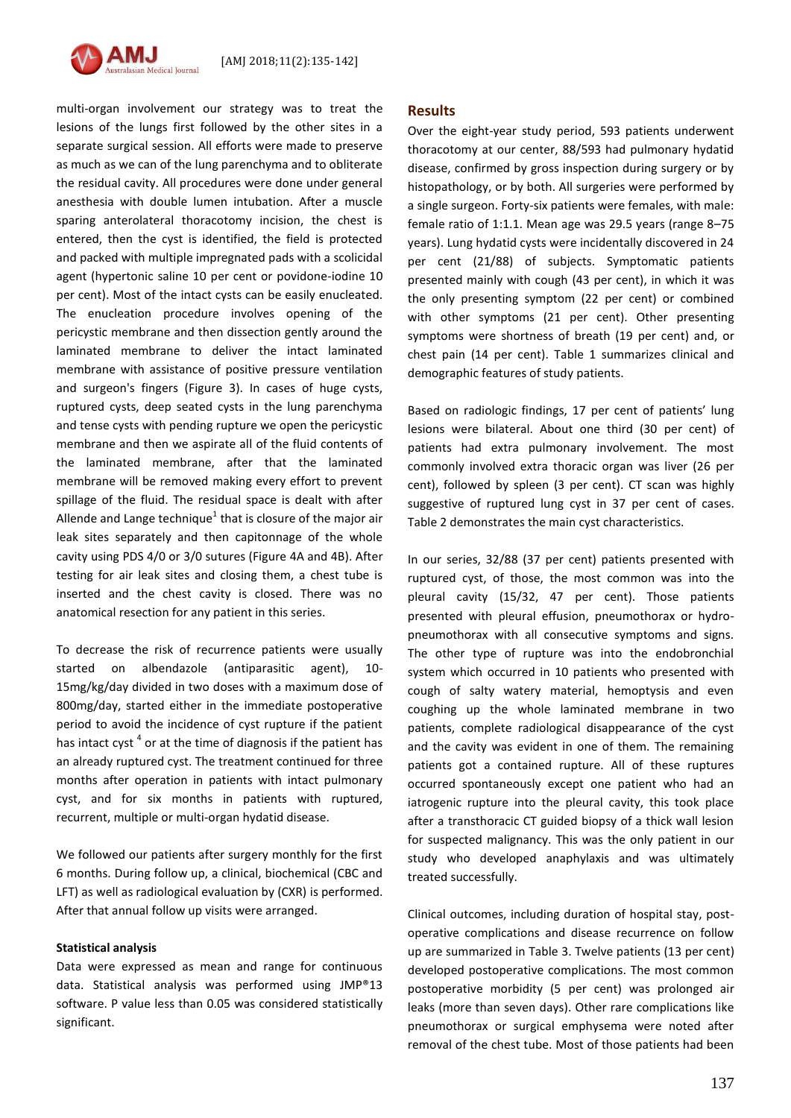

multi-organ involvement our strategy was to treat the lesions of the lungs first followed by the other sites in a separate surgical session. All efforts were made to preserve as much as we can of the lung parenchyma and to obliterate the residual cavity. All procedures were done under general anesthesia with double lumen intubation. After a muscle sparing anterolateral thoracotomy incision, the chest is entered, then the cyst is identified, the field is protected and packed with multiple impregnated pads with a scolicidal agent (hypertonic saline 10 per cent or povidone-iodine 10 per cent). Most of the intact cysts can be easily enucleated. The enucleation procedure involves opening of the pericystic membrane and then dissection gently around the laminated membrane to deliver the intact laminated membrane with assistance of positive pressure ventilation and surgeon's fingers (Figure 3). In cases of huge cysts, ruptured cysts, deep seated cysts in the lung parenchyma and tense cysts with pending rupture we open the pericystic membrane and then we aspirate all of the fluid contents of the laminated membrane, after that the laminated membrane will be removed making every effort to prevent spillage of the fluid. The residual space is dealt with after Allende and Lange technique $^1$  that is closure of the major air leak sites separately and then capitonnage of the whole cavity using PDS 4/0 or 3/0 sutures (Figure 4A and 4B). After testing for air leak sites and closing them, a chest tube is inserted and the chest cavity is closed. There was no anatomical resection for any patient in this series.

To decrease the risk of recurrence patients were usually started on albendazole (antiparasitic agent), 10- 15mg/kg/day divided in two doses with a maximum dose of 800mg/day, started either in the immediate postoperative period to avoid the incidence of cyst rupture if the patient has intact cyst  $^4$  or at the time of diagnosis if the patient has an already ruptured cyst. The treatment continued for three months after operation in patients with intact pulmonary cyst, and for six months in patients with ruptured, recurrent, multiple or multi-organ hydatid disease.

We followed our patients after surgery monthly for the first 6 months. During follow up, a clinical, biochemical (CBC and LFT) as well as radiological evaluation by (CXR) is performed. After that annual follow up visits were arranged.

#### **Statistical analysis**

Data were expressed as mean and range for continuous data. Statistical analysis was performed using JMP®13 software. P value less than 0.05 was considered statistically significant.

### **Results**

Over the eight-year study period, 593 patients underwent thoracotomy at our center, 88/593 had pulmonary hydatid disease, confirmed by gross inspection during surgery or by histopathology, or by both. All surgeries were performed by a single surgeon. Forty-six patients were females, with male: female ratio of 1:1.1. Mean age was 29.5 years (range 8–75 years). Lung hydatid cysts were incidentally discovered in 24 per cent (21/88) of subjects. Symptomatic patients presented mainly with cough (43 per cent), in which it was the only presenting symptom (22 per cent) or combined with other symptoms (21 per cent). Other presenting symptoms were shortness of breath (19 per cent) and, or chest pain (14 per cent). Table 1 summarizes clinical and demographic features of study patients.

Based on radiologic findings, 17 per cent of patients' lung lesions were bilateral. About one third (30 per cent) of patients had extra pulmonary involvement. The most commonly involved extra thoracic organ was liver (26 per cent), followed by spleen (3 per cent). CT scan was highly suggestive of ruptured lung cyst in 37 per cent of cases. Table 2 demonstrates the main cyst characteristics.

In our series, 32/88 (37 per cent) patients presented with ruptured cyst, of those, the most common was into the pleural cavity (15/32, 47 per cent). Those patients presented with pleural effusion, pneumothorax or hydropneumothorax with all consecutive symptoms and signs. The other type of rupture was into the endobronchial system which occurred in 10 patients who presented with cough of salty watery material, hemoptysis and even coughing up the whole laminated membrane in two patients, complete radiological disappearance of the cyst and the cavity was evident in one of them. The remaining patients got a contained rupture. All of these ruptures occurred spontaneously except one patient who had an iatrogenic rupture into the pleural cavity, this took place after a transthoracic CT guided biopsy of a thick wall lesion for suspected malignancy. This was the only patient in our study who developed anaphylaxis and was ultimately treated successfully.

Clinical outcomes, including duration of hospital stay, postoperative complications and disease recurrence on follow up are summarized in Table 3. Twelve patients (13 per cent) developed postoperative complications. The most common postoperative morbidity (5 per cent) was prolonged air leaks (more than seven days). Other rare complications like pneumothorax or surgical emphysema were noted after removal of the chest tube. Most of those patients had been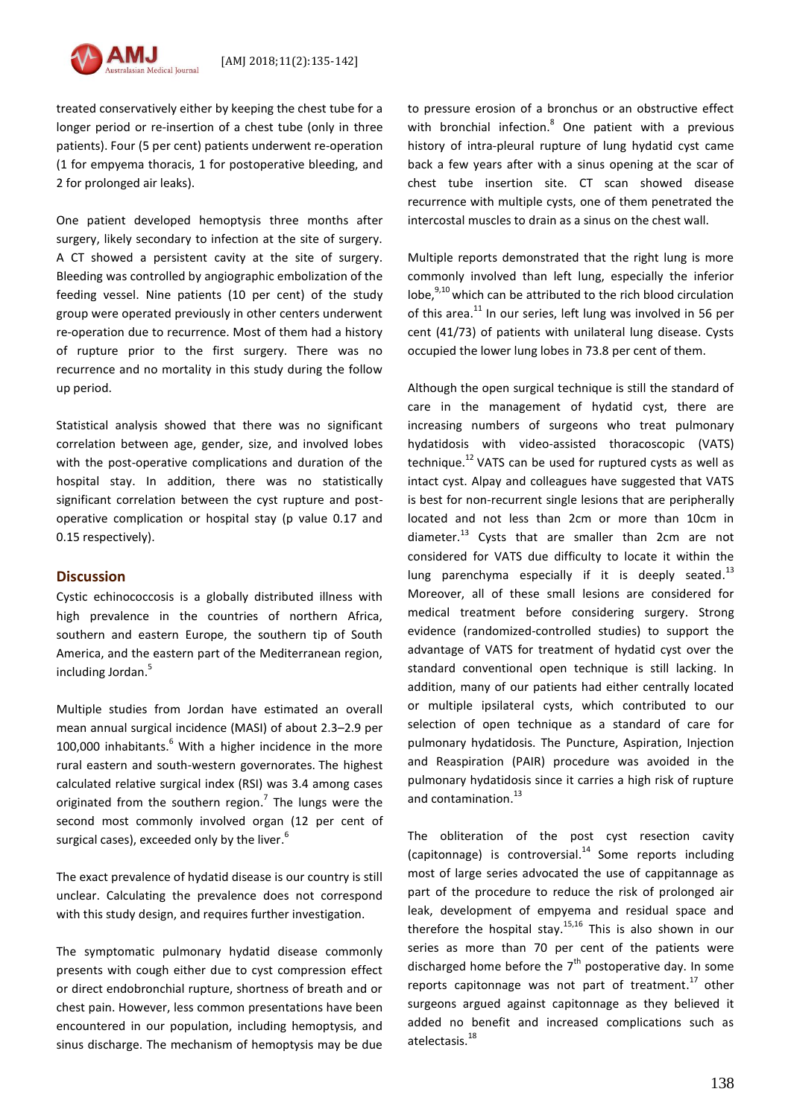

treated conservatively either by keeping the chest tube for a longer period or re-insertion of a chest tube (only in three patients). Four (5 per cent) patients underwent re-operation (1 for empyema thoracis, 1 for postoperative bleeding, and 2 for prolonged air leaks).

One patient developed hemoptysis three months after surgery, likely secondary to infection at the site of surgery. A CT showed a persistent cavity at the site of surgery. Bleeding was controlled by angiographic embolization of the feeding vessel. Nine patients (10 per cent) of the study group were operated previously in other centers underwent re-operation due to recurrence. Most of them had a history of rupture prior to the first surgery. There was no recurrence and no mortality in this study during the follow up period.

Statistical analysis showed that there was no significant correlation between age, gender, size, and involved lobes with the post-operative complications and duration of the hospital stay. In addition, there was no statistically significant correlation between the cyst rupture and postoperative complication or hospital stay (p value 0.17 and 0.15 respectively).

### **Discussion**

Cystic echinococcosis is a globally distributed illness with high prevalence in the countries of northern Africa, southern and eastern Europe, the southern tip of South America, and the eastern part of the Mediterranean region, including Jordan.<sup>5</sup>

Multiple studies from Jordan have estimated an overall mean annual surgical incidence (MASI) of about 2.3–2.9 per 100,000 inhabitants.<sup>6</sup> With a higher incidence in the more rural eastern and south-western governorates. The highest calculated relative surgical index (RSI) was 3.4 among cases originated from the southern region.<sup>7</sup> The lungs were the second most commonly involved organ (12 per cent of surgical cases), exceeded only by the liver.<sup>6</sup>

The exact prevalence of hydatid disease is our country is still unclear. Calculating the prevalence does not correspond with this study design, and requires further investigation.

The symptomatic pulmonary hydatid disease commonly presents with cough either due to cyst compression effect or direct endobronchial rupture, shortness of breath and or chest pain. However, less common presentations have been encountered in our population, including hemoptysis, and sinus discharge. The mechanism of hemoptysis may be due to pressure erosion of a bronchus or an obstructive effect with bronchial infection.<sup>8</sup> One patient with a previous history of intra-pleural rupture of lung hydatid cyst came back a few years after with a sinus opening at the scar of chest tube insertion site. CT scan showed disease recurrence with multiple cysts, one of them penetrated the intercostal muscles to drain as a sinus on the chest wall.

Multiple reports demonstrated that the right lung is more commonly involved than left lung, especially the inferior lobe,<sup>9,10</sup> which can be attributed to the rich blood circulation of this area.<sup>11</sup> In our series, left lung was involved in 56 per cent (41/73) of patients with unilateral lung disease. Cysts occupied the lower lung lobes in 73.8 per cent of them.

Although the open surgical technique is still the standard of care in the management of hydatid cyst, there are increasing numbers of surgeons who treat pulmonary hydatidosis with video-assisted thoracoscopic (VATS) technique.<sup>12</sup> VATS can be used for ruptured cysts as well as intact cyst. Alpay and colleagues have suggested that VATS is best for non-recurrent single lesions that are peripherally located and not less than 2cm or more than 10cm in diameter. <sup>13</sup> Cysts that are smaller than 2cm are not considered for VATS due difficulty to locate it within the lung parenchyma especially if it is deeply seated.<sup>13</sup> Moreover, all of these small lesions are considered for medical treatment before considering surgery. Strong evidence (randomized-controlled studies) to support the advantage of VATS for treatment of hydatid cyst over the standard conventional open technique is still lacking. In addition, many of our patients had either centrally located or multiple ipsilateral cysts, which contributed to our selection of open technique as a standard of care for pulmonary hydatidosis. The Puncture, Aspiration, Injection and Reaspiration (PAIR) procedure was avoided in the pulmonary hydatidosis since it carries a high risk of rupture and contamination.<sup>13</sup>

The obliteration of the post cyst resection cavity (capitonnage) is controversial.<sup>14</sup> Some reports including most of large series advocated the use of cappitannage as part of the procedure to reduce the risk of prolonged air leak, development of empyema and residual space and therefore the hospital stay.<sup>15,16</sup> This is also shown in our series as more than 70 per cent of the patients were discharged home before the  $7<sup>th</sup>$  postoperative day. In some reports capitonnage was not part of treatment.<sup>17</sup> other surgeons argued against capitonnage as they believed it added no benefit and increased complications such as atelectasis. 18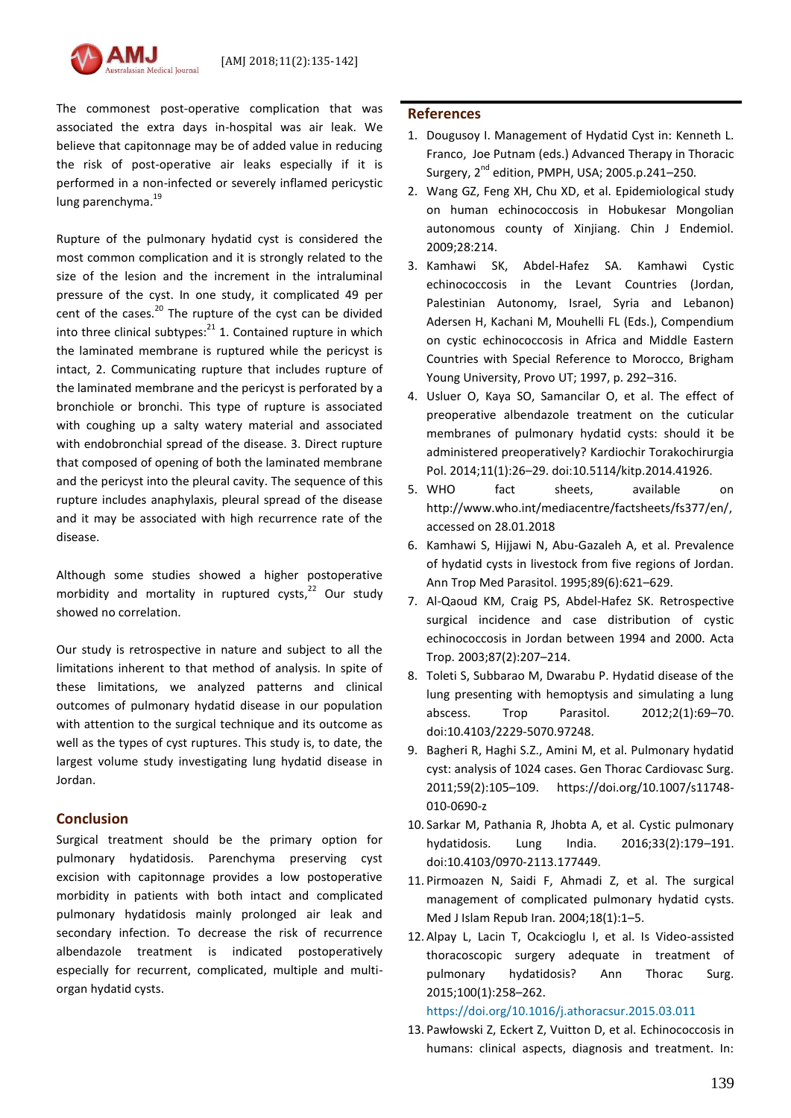The commonest post-operative complication that was associated the extra days in-hospital was air leak. We believe that capitonnage may be of added value in reducing the risk of post-operative air leaks especially if it is performed in a non-infected or severely inflamed pericystic lung parenchyma.<sup>19</sup>

Rupture of the pulmonary hydatid cyst is considered the most common complication and it is strongly related to the size of the lesion and the increment in the intraluminal pressure of the cyst. In one study, it complicated 49 per cent of the cases.<sup>20</sup> The rupture of the cyst can be divided into three clinical subtypes:<sup>21</sup> 1. Contained rupture in which the laminated membrane is ruptured while the pericyst is intact, 2. Communicating rupture that includes rupture of the laminated membrane and the pericyst is perforated by a bronchiole or bronchi. This type of rupture is associated with coughing up a salty watery material and associated with endobronchial spread of the disease. 3. Direct rupture that composed of opening of both the laminated membrane and the pericyst into the pleural cavity. The sequence of this rupture includes anaphylaxis, pleural spread of the disease and it may be associated with high recurrence rate of the disease.

Although some studies showed a higher postoperative morbidity and mortality in ruptured cysts, <sup>22</sup> Our study showed no correlation.

Our study is retrospective in nature and subject to all the limitations inherent to that method of analysis. In spite of these limitations, we analyzed patterns and clinical outcomes of pulmonary hydatid disease in our population with attention to the surgical technique and its outcome as well as the types of cyst ruptures. This study is, to date, the largest volume study investigating lung hydatid disease in Jordan.

### **Conclusion**

Surgical treatment should be the primary option for pulmonary hydatidosis. Parenchyma preserving cyst excision with capitonnage provides a low postoperative morbidity in patients with both intact and complicated pulmonary hydatidosis mainly prolonged air leak and secondary infection. To decrease the risk of recurrence albendazole treatment is indicated postoperatively especially for recurrent, complicated, multiple and multiorgan hydatid cysts.

### **References**

- 1. Dougusoy I. Management of Hydatid Cyst in: Kenneth L. Franco, Joe Putnam (eds.) Advanced Therapy in Thoracic Surgery,  $2^{nd}$  edition, PMPH, USA; 2005.p.241-250.
- 2. Wang GZ, Feng XH, Chu XD, et al. Epidemiological study on human echinococcosis in Hobukesar Mongolian autonomous county of Xinjiang. Chin J Endemiol. 2009;28:214.
- 3. Kamhawi SK, Abdel-Hafez SA. Kamhawi Cystic echinococcosis in the Levant Countries (Jordan, Palestinian Autonomy, Israel, Syria and Lebanon) Adersen H, Kachani M, Mouhelli FL (Eds.), Compendium on cystic echinococcosis in Africa and Middle Eastern Countries with Special Reference to Morocco, Brigham Young University, Provo UT; 1997, p. 292–316.
- 4. Usluer O, Kaya SO, Samancilar O, et al. The effect of preoperative albendazole treatment on the cuticular membranes of pulmonary hydatid cysts: should it be administered preoperatively? Kardiochir Torakochirurgia Pol. 2014;11(1):26–29. doi:10.5114/kitp.2014.41926.
- 5. WHO fact sheets, available on [http://www.who.int/mediacentre/factsheets/fs377/en/,](http://www.who.int/mediacentre/factsheets/fs377/en/) accessed on 28.01.2018
- 6. Kamhawi S, Hijjawi N, Abu-Gazaleh A, et al. Prevalence of hydatid cysts in livestock from five regions of Jordan. Ann Trop Med Parasitol. 1995;89(6):621–629.
- 7. Al-Qaoud KM, Craig PS, Abdel-Hafez SK. Retrospective surgical incidence and case distribution of cystic echinococcosis in Jordan between 1994 and 2000. Acta Trop. 2003;87(2):207–214.
- 8. Toleti S, Subbarao M, Dwarabu P. Hydatid disease of the lung presenting with hemoptysis and simulating a lung abscess. Trop Parasitol. 2012;2(1):69–70. doi:10.4103/2229-5070.97248.
- 9. Bagheri R, Haghi S.Z., Amini M, et al. Pulmonary hydatid cyst: analysis of 1024 cases. Gen Thorac Cardiovasc Surg. 2011;59(2):105–109. [https://doi.org/10.1007/s11748-](https://doi.org/10.1007/s11748-010-0690-z) [010-0690-z](https://doi.org/10.1007/s11748-010-0690-z)
- 10. Sarkar M, Pathania R, Jhobta A, et al. Cystic pulmonary hydatidosis. Lung India. 2016;33(2):179–191. doi:10.4103/0970-2113.177449.
- 11. Pirmoazen N, Saidi F, Ahmadi Z, et al. The surgical management of complicated pulmonary hydatid cysts. Med J Islam Repub Iran. 2004;18(1):1–5.
- 12. Alpay L, Lacin T, Ocakcioglu I, et al. Is Video-assisted thoracoscopic surgery adequate in treatment of pulmonary hydatidosis? Ann Thorac Surg. 2015;100(1):258–262.

<https://doi.org/10.1016/j.athoracsur.2015.03.011>

13. Pawłowski Z, Eckert Z, Vuitton D, et al. Echinococcosis in humans: clinical aspects, diagnosis and treatment. In: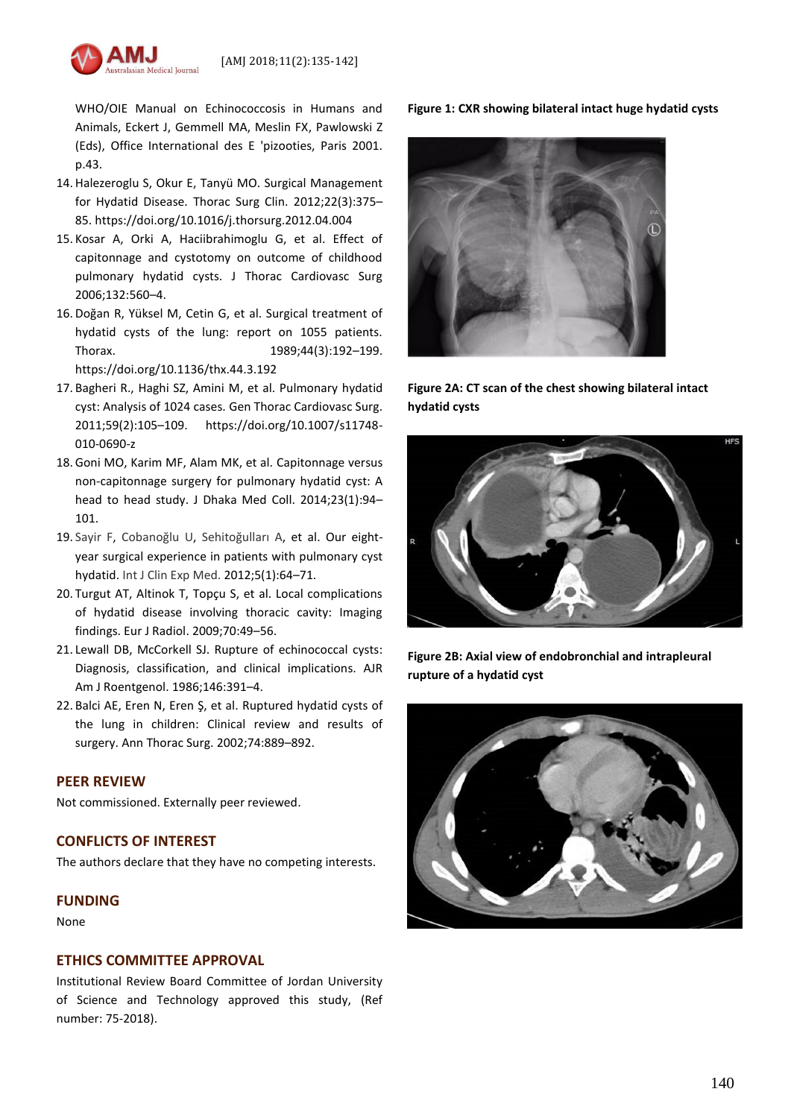

WHO/OIE Manual on Echinococcosis in Humans and Animals, Eckert J, Gemmell MA, Meslin FX, Pawlowski Z (Eds), Office International des E 'pizooties, Paris 2001. p.43.

- 14. Halezeroglu S, Okur E, Tanyü MO. Surgical Management for Hydatid Disease. Thorac Surg Clin. 2012;22(3):375– 85[. https://doi.org/10.1016/j.thorsurg.2012.04.004](https://doi.org/10.1016/j.thorsurg.2012.04.004)
- 15. Kosar A, Orki A, Haciibrahimoglu G, et al. Effect of capitonnage and cystotomy on outcome of childhood pulmonary hydatid cysts. J Thorac Cardiovasc Surg 2006;132:560–4.
- 16. Doğan R, Yüksel M, Cetin G, et al. Surgical treatment of hydatid cysts of the lung: report on 1055 patients. Thorax. 1989;44(3):192-199. <https://doi.org/10.1136/thx.44.3.192>
- 17. Bagheri R., Haghi SZ, Amini M, et al. Pulmonary hydatid cyst: Analysis of 1024 cases. Gen Thorac Cardiovasc Surg. 2011;59(2):105–109. [https://doi.org/10.1007/s11748-](https://doi.org/10.1007/s11748-010-0690-z) [010-0690-z](https://doi.org/10.1007/s11748-010-0690-z)
- 18.Goni MO, Karim MF, Alam MK, et al. Capitonnage versus non-capitonnage surgery for pulmonary hydatid cyst: A head to head study. J Dhaka Med Coll. 2014;23(1):94– 101.
- 19. [Sayir F,](https://www.ncbi.nlm.nih.gov/pubmed/?term=Sayir%20F%5BAuthor%5D&cauthor=true&cauthor_uid=22328950) [Cobanoğlu U](https://www.ncbi.nlm.nih.gov/pubmed/?term=Cobano%C4%9Flu%20U%5BAuthor%5D&cauthor=true&cauthor_uid=22328950), [Sehitoğulları A](https://www.ncbi.nlm.nih.gov/pubmed/?term=Sehito%C4%9Fullar%C4%B1%20A%5BAuthor%5D&cauthor=true&cauthor_uid=22328950), et al. Our eightyear surgical experience in patients with pulmonary cyst hydatid. [Int J Clin Exp Med.](https://www.ncbi.nlm.nih.gov/pubmed/?term=Our+eight-year+surgical+experience+in+patients+with+pulmonary+cyst+hydatid) 2012;5(1):64–71.
- 20. Turgut AT, Altinok T, Topçu S, et al. Local complications of hydatid disease involving thoracic cavity: Imaging findings. Eur J Radiol. 2009;70:49–56.
- 21. Lewall DB, McCorkell SJ. Rupture of echinococcal cysts: Diagnosis, classification, and clinical implications. AJR Am J Roentgenol. 1986;146:391–4.
- 22. Balci AE, Eren N, Eren Ş, et al. Ruptured hydatid cysts of the lung in children: Clinical review and results of surgery. Ann Thorac Surg. 2002;74:889–892.

### **PEER REVIEW**

Not commissioned. Externally peer reviewed.

### **CONFLICTS OF INTEREST**

The authors declare that they have no competing interests.

### **FUNDING**

None

### **ETHICS COMMITTEE APPROVAL**

Institutional Review Board Committee of Jordan University of Science and Technology approved this study, (Ref number: 75-2018).

**Figure 1: CXR showing bilateral intact huge hydatid cysts**



**Figure 2A: CT scan of the chest showing bilateral intact hydatid cysts**



**Figure 2B: Axial view of endobronchial and intrapleural rupture of a hydatid cyst**

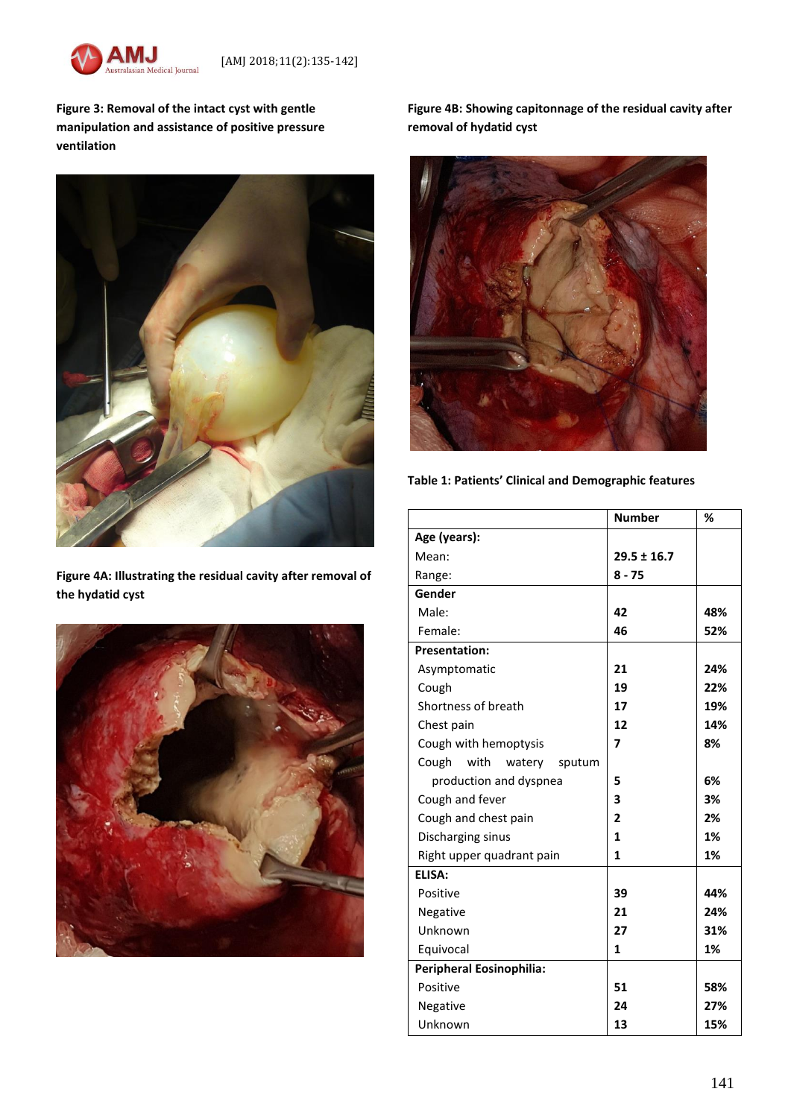

**Figure 3: Removal of the intact cyst with gentle manipulation and assistance of positive pressure ventilation**



**Figure 4A: Illustrating the residual cavity after removal of the hydatid cyst**



**Figure 4B: Showing capitonnage of the residual cavity after removal of hydatid cyst**



**Table 1: Patients' Clinical and Demographic features**

|                                   | <b>Number</b>   | %   |
|-----------------------------------|-----------------|-----|
| Age (years):                      |                 |     |
| Mean:                             | $29.5 \pm 16.7$ |     |
| Range:                            | $8 - 75$        |     |
| Gender                            |                 |     |
| Male:                             | 42              | 48% |
| Female:                           | 46              | 52% |
| <b>Presentation:</b>              |                 |     |
| Asymptomatic                      | 21              | 24% |
| Cough                             | 19              | 22% |
| Shortness of breath               | 17              | 19% |
| Chest pain                        | 12              | 14% |
| Cough with hemoptysis             | 7               | 8%  |
| with<br>Cough<br>watery<br>sputum |                 |     |
| production and dyspnea            | 5               | 6%  |
| Cough and fever                   | 3               | 3%  |
| Cough and chest pain              | 2               | 2%  |
| Discharging sinus                 | 1               | 1%  |
| Right upper quadrant pain         | 1               | 1%  |
| ELISA:                            |                 |     |
| Positive                          | 39              | 44% |
| Negative                          | 21              | 24% |
| Unknown                           | 27              | 31% |
| Equivocal                         | 1               | 1%  |
| Peripheral Eosinophilia:          |                 |     |
| Positive                          | 51              | 58% |
| Negative                          | 24              | 27% |
| Unknown                           | 13              | 15% |